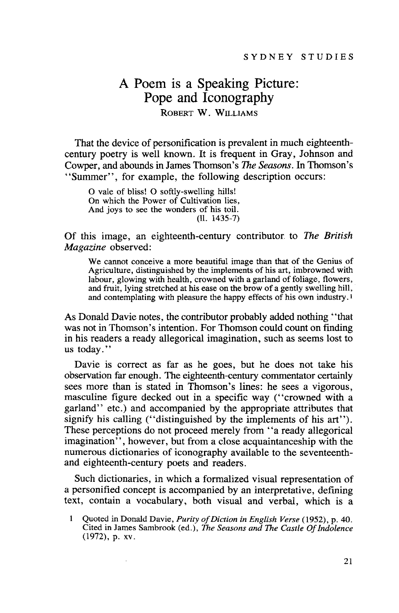# **A Poem** is a **Speaking Picture: Pope and Iconography** ROBERT W. WILLIAMS

That the device of personification is prevalent in much eighteenthcentury poetry is well known. It is frequent in Gray, Johnson and Cowper, and abounds in James Thomson's *The Seasons.* In Thomson's "Summer", for example, the following description occurs:

o vale of bliss! <sup>0</sup> softly-swelling hills! On which the Power of Cultivation lies, And joys to see the wonders of his toil. (11. 1435-7)

Of this image, an eighteenth-century contributor to *The British Magazine* observed:

We cannot conceive a more beautiful image than that of the Genius of Agriculture, distinguished by the implements of his art, imbrowned with labour, glowing with health, crowned with a garland of foliage, flowers, and fruit, lying stretched at his ease on the brow of a gently swelling hill, and contemplating with pleasure the happy effects of his own industry. <sup>1</sup>

As Donald Davie notes, the contributor probably added nothing "that was not in Thomson's intention. For Thomson could count on finding in his readers a ready allegorical imagination, such as seems lost to us today."

Davie is correct as far as he goes, but he does not take his observation far enough. The eighteenth-century commentator certainly sees more than is stated in Thomson's lines: he sees a vigorous, masculine figure decked out in a specific way ("crowned with a garland" etc.) and accompanied by the appropriate attributes that signify his calling ("distinguished by the implements of his art"). These perceptions do not proceed merely from "a ready allegorical imagination", however, but from a close acquaintanceship with the numerous dictionaries of iconography available to the seventeenthand eighteenth-century poets and readers.

Such dictionaries, in which a formalized visual representation of a personified concept is accompanied by an interpretative, defining text, contain a vocabulary, both visual and verbal, which is a

Quoted in Donald Davie, *Purity of Diction in English Verse* (1952), p. 40. Cited in James Sambrook (ed.), *The Seasons and The Castle OfIndolence* (1972), p. xv.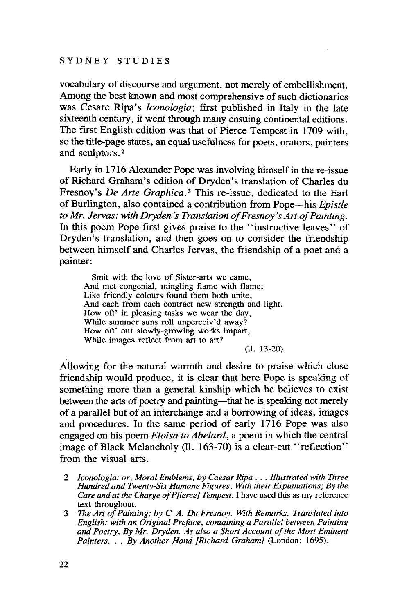vocabulary of discourse and argument, not merely of embellishment. Among the best known and most comprehensive of such dictionaries was Cesare Ripa's *Iconologia;* first published in Italy in the late sixteenth century, it went through many ensuing continental editions. The first English edition was that of Pierce Tempest in 1709 with, so the title-page states, an equal usefulness for poets, orators, painters and sculptors. <sup>2</sup>

Early in 1716 Alexander Pope was involving himself in the re-issue of Richard Graham's edition of Dryden's translation of Charles du Fresnoy's *De Arte Graphica. <sup>3</sup>* This re-issue, dedicated to the Earl of Burlington, also contained a contribution from Pope-his *Epistle to Mr. lervas: with Dryden's Translation ofFresnoy 's Art ofPainting.* **In** this poem Pope first gives praise to the "instructive leaves" of Dryden's translation, and then goes on to consider the friendship between himself and Charles Jervas, the friendship of a poet and a painter:

Smit with the love of Sister-arts we came, And met congenial, mingling flame with flame; Like friendly colours found them both unite, And each from each contract new strength and light. How oft' in pleasing tasks we wear the day, While summer suns roll unperceiv'd away? How oft' our slowly-growing works impart, While images reflect from art to art?

(ll. 13-20)

Allowing for the natural warmth and desire to praise which close friendship would produce, it is clear that here Pope is speaking of something more than a general kinship which he believes to exist between the arts of poetry and painting-that he is speaking not merely of a parallel but of an interchange and a borrowing of ideas, images and procedures. **In** the same period of early 1716 Pope was also engaged on his poem *Eloisa to Abelard,* a poem in which the central image of Black Melancholy (ll. 163-70) is a clear-cut "reflection" from the visual arts.

- <sup>2</sup> *lconologia: or, Moral Emblems, by Caesar Ripa .* .. *Illustrated with Three Hundred and Twenty-Six Humane Figures, With their Explanations; By the Care and at the Charge ofP[ierce] Tempest.* I have used this as my reference text throughout.
- 3 *The Art ofPainting; by* C. *A. Du Fresnoy. With Remarks. Translated into English; with an Original Preface, containing a Parallel between Painting and Poetry, By Mr. Dryden. As also a Short Account ofthe Most E.minent Painters.* .. *By Another Hand [Richard Graham]* (London: 1695).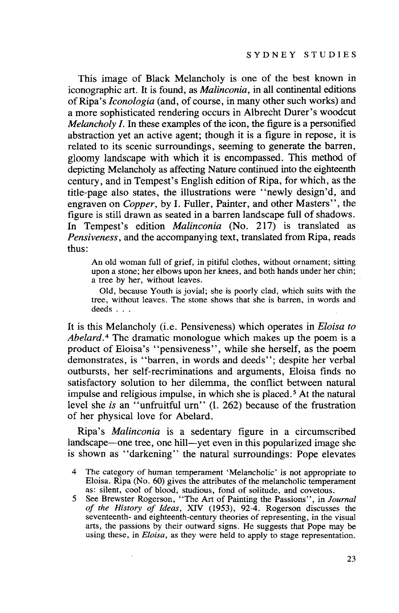This image of Black Melancholy is one of the best known in iconographic art. It is found, as *Malinconia,* in all continental editions ofRipa's *Iconologia* (and, of course, in many other such works) and a more sophisticated rendering occurs in Albrecht Durer's woodcut *Melancholy I*. In these examples of the icon, the figure is a personified abstraction yet an active agent; though it is a figure in repose, it is related to its scenic surroundings, seeming to generate the barren, gloomy landscape with which it is encompassed. This method of depicting Melancholy as affecting Nature continued into the eighteenth century, and in Tempest's English edition of Ripa, for which, as the title-page also states, the illustrations were "newly design'd, and engraven on *Copper,* by 1. Fuller, Painter, and other Masters", the figure is still drawn as seated in a barren landscape full of shadows. In Tempest's edition *Malinconia* (No. 217) is translated as *Pensiveness,* and the accompanying text, translated from Ripa, reads thus:

An old woman full of grief, in pitiful clothes, without ornament; sitting upon a stone; her elbows upon her knees, and both hands under her chin; a tree by her, without leaves.

Old, because Youth is jovial; she is poorly clad, which suits with the tree, without leaves. The stone shows that she is barren, in words and deeds ...

It is this Melancholy (i.e. Pensiveness) which operates in *Eloisa to Abelard.* <sup>4</sup> The dramatic monologue which makes up the poem is a product of Eloisa's "pensiveness", while she herself, as the poem demonstrates, is "barren, in words and deeds"; despite her verbal outbursts, her self-recriminations and arguments, Eloisa finds no satisfactory solution to her dilemma, the conflict between natural impulse and religious impulse, in which she is placed. <sup>5</sup> At the natural level she *is* an "unfruitful urn" (1. 262) because of the frustration of her physical love for Abelard.

Ripa's *Malinconia* is a sedentary figure in a circumscribed landscape—one tree, one hill—yet even in this popularized image she is shown as "darkening" the natural surroundings: Pope elevates

<sup>4</sup> The category of human temperament 'Melancholic' is not appropriate to Eloisa. Ripa (No. 60) gives the attributes of the melancholic temperament as: silent, cool of blood, studious, fond of solitude, and covetous.

<sup>5</sup> See Brewster Rogerson, "The Art of Painting the Passions", in J*oumal of the History of Ideas,* XIV (1953), 92-4. Rogerson discusses the seventeenth- and eighteenth-century theories of representing, in the visual arts, the passions by their outward signs. He suggests that Pope may be using these, in *Eloisa,* as they were held to apply to stage representation.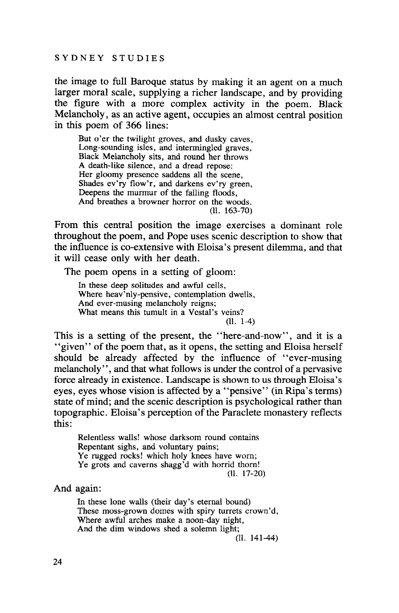the image to full Baroque status by making it an agent on a much larger moral scale, supplying a richer landscape, and by providing the figure with a more complex activity in the poem. Black Melancholy, as an active agent, occupies an almost central position in this poem of 366 lines:

But o'er the twilight groves, and dusky caves, Long-sounding isles, and intermingled graves, Black Melancholy sits, and round her throws A death-like silence, and a dread repose: Her gloomy presence saddens all the scene, Shades ev'ry flow'r, and darkens ev'ry green, Deepens the murmur of the falling floods, And breathes a browner horror on the woods. (II. 163-70)

From this central position the image exercises a dominant role throughout the poem, and Pope uses scenic description to show that the influence is co-extensive with Eloisa's present dilemma, and that it will cease only with her death.

The poem opens in a setting of gloom:

In these deep solitudes and awful cells, Where heav'nly-pensive, contemplation dwells, And ever-musing melancholy reigns; What means this tumult in a Vestal's veins? (II. 1-4)

This is a setting of the present, the "here-and-now", and it is a "given" of the poem that, as it opens, the setting and Eloisa herself should be already affected by the influence of "ever-musing melancholy", and that what follows is under the control of a pervasive force already in existence. Landscape is shown to us through Eloisa's eyes, eyes whose vision is affected by a "pensive" (in Ripa's terms) state of mind; and the scenic description is psychological rather than topographic. Eloisa's perception of the Paraclete monastery reflects this:

Relentless walls! whose darksom round contains Repentant sighs, and voluntary pains; Ye rugged rocks! which holy knees have worn; Ye grots and caverns shagg'd with horrid thorn! (II. 17-20)

And again:

In these lone walls (their day's eternal bound) These moss-grown domes with spiry turrets crown'd, Where awful arches make a noon-day night, And the dim windows shed a solemn light;

(II. 141-44)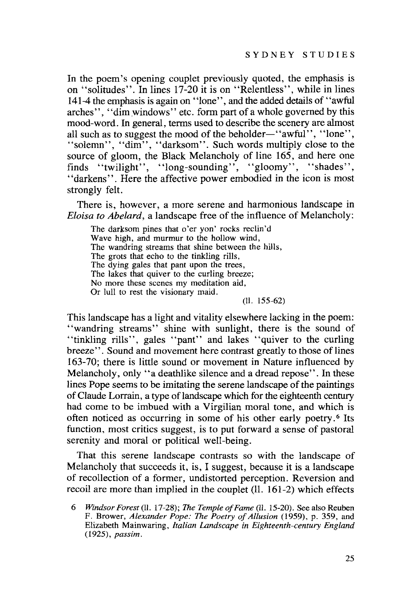In the poem's opening couplet previously quoted, the emphasis is on "solitudes". In lines 17-20 it is on "Relentless", while in lines 141-4 the emphasis is again on "lone", and the added details of ' 'awful arches", "dim windows" etc. form part of a whole governed by this mood-word. In general, terms used to describe the scenery are almost all such as to suggest the mood of the beholder-"awful", "lone", "solemn", "dim", "darksom". Such words multiply close to the source of gloom, the Black Melancholy of line 165, and here one finds "twilight", "long-sounding", "gloomy", "shades", "darkens". Here the affective power embodied in the icon is most strongly felt.

There is, however, a more serene and harmonious landscape in *Eloisa to Abelard,* a landscape free of the influence of Melancholy:

The darksom pines that o'er yon' rocks reclin'd Wave high, and murmur to the hollow wind, The wandring streams that shine between the hills, The grots that echo to the tinkling rills, The dying gales that pant upon the trees, The lakes that quiver to the curling breeze; No more these scenes my meditation aid, Or lull to rest the visionary maid.

(II. 155-62)

This landscape has a light and vitality elsewhere lacking in the poem: "wandring streams" shine with sunlight, there is the sound of "tinkling rills", gales "pant" and lakes "quiver to the curling breeze". Sound and movement here contrast greatly to those of lines 163-70; there is little sound or movement in Nature influenced by Melancholy, only "a deathlike silence and a dread repose". In these lines Pope seems to be imitating the serene landscape of the paintings of Claude Lorrain, a type of landscape which for the eighteenth century had come to be imbued with a Virgilian moral tone, and which is often noticed as occurring in some of his other early poetry. <sup>6</sup> Its function, most critics suggest, is to put forward a sense of pastoral serenity and moral or political well-being.

That this serene landscape contrasts so with the landscape of Melancholy that succeeds it, is, I suggest, because it is a landscape of recollection of a former, undistorted perception. Reversion and recoil are more than implied in the couplet (II. 161-2) which effects

*<sup>6</sup> Windsor Forest* (II. 17-28); The *Temple ofFame* (II. 15-20). See also Reuben F. Brower, *Alexander Pope: The Poetry of Allusion* (1959), p. 359, and Elizabeth Mainwaring, *Italian Landscape in Eighteenth-century England (1925), passim.*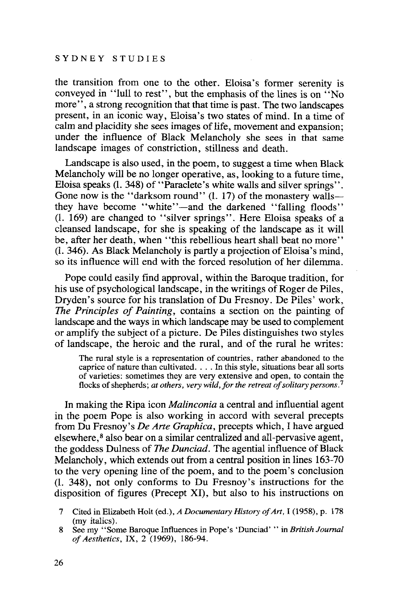the transition from one to the other. Eloisa's former serenity is conveyed in "lull to rest", but the emphasis of the lines is on "No more", a strong recognition that that time is past. The two landscapes present, in an iconic way, Eloisa's two states of mind. In a time of calm and placidity she sees images of life, movement and expansion: under the influence of Black Melancholy she sees in that same landscape images of constriction, stillness and death.

Landscape is also used, in the poem, to suggest a time when Black Melancholy will be no longer operative, as, looking to a future time, Eloisa speaks (1.348) of "Paraclete's white walls and silver springs". Gone now is the "darksom round"  $(1. 17)$  of the monastery wallsthey have become "white"—and the darkened "falling floods" (1. 169) are changed to "silver springs". Here Eloisa speaks of a cleansed landscape, for she is speaking of the landscape as it will be, after her death, when "this rebellious heart shall beat no more" (1.346). As Black Melancholy is partly a projection of Eloisa's mind, so its influence will end with the forced resolution of her dilemma.

Pope could easily find approval, within the Baroque tradition, for his use of psychological landscape, in the writings of Roger de Piles, Dryden's source for his translation of Du Fresnoy. De Piles' work, *The Principles of Painting,* contains a section on the painting of landscape and the ways in which landscape may be used to complement or amplify the subject of a picture. De Piles distinguishes two styles of landscape, the heroic and the rural, and of the rural he writes:

The rural style is a representation of countries, rather abandoned to the caprice of nature than cultivated.... In this style, situations bear all sorts of varieties: sometimes they are very extensive and open, to contain the flocks of shepherds; *at others, very wild, for the retreat of solitary persons.*<sup>7</sup>

In making the Ripa icon *Malinconia* a central and influential agent in the poem Pope is also working in accord with several precepts from Du Fresnoy's *De Arte Graphica,* precepts which, I have argued elsewhere, <sup>8</sup> also bear on a similar centralized and all-pervasive agent, the goddess Dulness of *The Dunciad*. The agential influence of Black Melancholy, which extends out from a central position in lines 163-70 to the very opening line of the poem, and to the poem's conclusion (1. 348), not only conforms to Du Fresnoy's instructions for the disposition of figures (Precept XI), but also to his instructions on

<sup>7</sup> Cited in Elizabeth Holt (ed.), *A Documentary History of Art*, I (1958), p. 178 (my italics).

<sup>8</sup> See my "Some Baroque Influences in Pope's 'Dunciad' " in *British Journal ofAesthetics,* IX, 2 (1969), 186-94.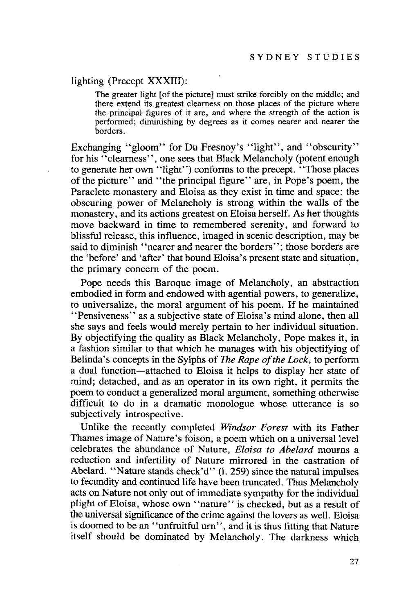#### lighting (Precept XXXIII):

The greater light [of the picture] must strike forcibly on the middle; and there extend its greatest clearness on those places of the picture where the principal figures of it are, and where the strength of the action is performed; diminishing by degrees as it comes nearer and nearer the borders.

Exchanging "gloom" for Du Fresnoy's "light", and "obscurity" for his "clearness", one sees that Black Melancholy (potent enough to generate her own "light") conforms to the precept. "Those places of the picture" and "the principal figure" are, in Pope's poem, the Paraclete monastery and Eloisa as they exist in time and space: the obscuring power of Melancholy is strong within the walls of the monastery, and its actions greatest on Eloisa herself. As her thoughts move backward in time to remembered serenity, and forward to blissful release, this influence, imaged in scenic description, may be said to diminish "nearer and nearer the borders"; those borders are the 'before' and 'after' that bound Eloisa's present state and situation, the primary concern of the poem.

Pope needs this Baroque image of Melancholy, an abstraction embodied in form and endowed with agential powers, to generalize, to universalize, the moral argument of his poem. If he maintained "Pensiveness" as a subjective state of Eloisa's mind alone, then all she says and feels would merely pertain to her individual situation. By objectifying the quality as Black Melancholy, Pope makes it, in a fashion similar to that which he manages with his objectifying of Belinda's concepts in the Sylphs of *The Rape of the Lock*, to perform a dual function-attached to Eloisa it helps to display her state of mind; detached, and as an operator in its own right, it permits the poem to conduct a generalized moral argument, something otherwise difficult to do in a dramatic monologue whose utterance is so subjectively introspective.

Unlike the recently completed *Windsor Forest* with its Father Thames image of Nature's foison, a poem which on a universal level celebrates the abundance of Nature, *Eloisa to Abelard* mourns a reduction and infertility of Nature mirrored in the castration of Abelard. "Nature stands check'd" (1.259) since the natural impulses to fecundity and continued life have been truncated. Thus Melancholy acts on Nature not only out of immediate sympathy for the individual plight of Eloisa, whose own "nature" is checked, but as a result of the universal significance of the crime against the lovers as well. Eloisa is doomed to be an "unfruitful urn", and it is thus fitting that Nature itself should be dominated by Melancholy. The darkness which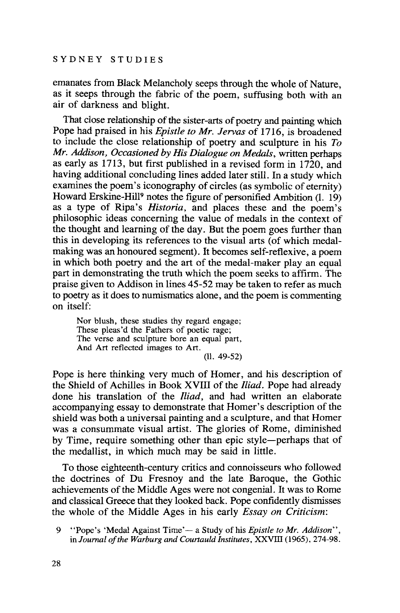emanates from Black Melancholy seeps through the whole of Nature, as it seeps through the fabric of the poem, suffusing both with an air of darkness and blight.

That close relationship of the sister-arts of poetry and painting which Pope had praised in his *Epistle to Mr. Jervas* of 1716, is broadened to include the close relationship of poetry and sculpture in his *To Mr. Addison, Occasioned by His Dialogue on Medals,* written perhaps as early as 1713, but first published in a revised form in 1720, and having additional concluding lines added later still. In a study which examines the poem's iconography of circles (as symbolic of eternity) Howard Erskine-Hill9 notes the figure of personified Ambition (1. 19) as a type of Ripa's *Historia,* and places these and the poem's philosophic ideas concerning the value of medals in the context of the thought and learning of the day. But the poem goes further than this in developing its references to the visual arts (of which medalmaking was an honoured segment). It becomes self-reflexive, a poem in which both poetry and the art of the medal-maker play an equal part in demonstrating the truth which the poem seeks to affirm. The praise given to Addison in lines 45-52 may be taken to refer as much to poetry as it does to numismatics alone, and the poem is commenting on itself:

Nor blush, these studies thy regard engage; These pleas'd the Fathers of poetic rage; The verse and sculpture bore an equal part, And Art reflected images to Art. (II. 49-52)

Pope is here thinking very much of Homer, and his description of the Shield of Achilles in Book XVIII of the *Iliad.* Pope had already done his translation of the *Iliad,* and had written an elaborate accompanying essay to demonstrate that Homer's description of the shield was both a universal painting and a sculpture, and that Homer was a consummate visual artist. The glories of Rome, diminished by Time, require something other than epic style-perhaps that of the medallist, in which much may be said in little.

To those eighteenth-century critics and connoisseurs who followed the doctrines of Du Fresnoy and the late Baroque, the Gothic achievements of the Middle Ages were not congenial. It was to Rome and classical Greece that they looked back. Pope confidently dismisses the whole of the Middle Ages in his early *Essay on Criticism:*

<sup>9</sup> "Pope's 'Medal Against Time'- a Study of his *Epistle to Mr. Addison",* in *Journal ofthe Warburg and Courtauld Institutes,* XXVIII (1965), 274-98.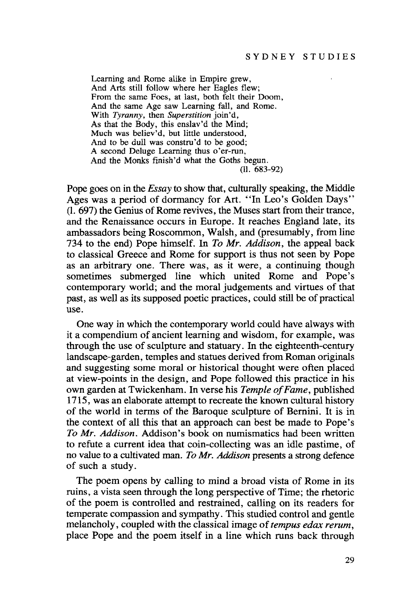Learning and Rome alike in Empire grew, And Arts still follow where her Eagles flew; From the same Foes, at last, both felt their Doom, And the same Age saw Learning fall, and Rome. With *Tyranny,* then *Superstition* join'd, As that the Body, this enslav'd the Mind; Much was believ'd, but little understood, And to be dull was constru'd to be good; A second Deluge Learning thus o'er-run, And the Monks finish'd what the Goths begun. (II. 683-92)

Pope goes on in the *Essay* to show that, culturally speaking, the Middle Ages was a period of dormancy for Art. "In Leo's Golden Days" (1. 697) the Genius of Rome revives, the Muses start from their trance, and the Renaissance occurs in Europe. It reaches England late, its ambassadors being Roscommon, Walsh, and (presumably, from line 734 to the end) Pope himself. In *To Mr. Addison,* the appeal back to classical Greece and Rome for support is thus not seen by Pope as an arbitrary one. There was, as it were, a continuing though sometimes submerged line which united Rome and Pope's contemporary world; and the moral judgements and virtues of that past, as well as its supposed poetic practices, could still be of practical use.

One way in which the contemporary world could have always with it a compendium of ancient learning and wisdom, for example, was through the use of sculpture and statuary. In the eighteenth-century landscape-garden, temples and statues derived from Roman originals and suggesting some moral or historical thought were often placed at view-points in the design, and Pope followed this practice in his own garden at Twickenham. In verse his *Temple of Fame*, published 1715, was an elaborate attempt to recreate the known cultural history of the world in terms of the Baroque sculpture of Bernini. It is in the context of all this that an approach can best be made to Pope's *To Mr. Addison.* Addison's book on numismatics had been written to refute a current idea that coin-collecting was an idle pastime, of no value to a cultivated man. *To Mr. Addison* presents a strong defence of such a study.

The poem opens by calling to mind a broad vista of Rome in its ruins, a vista seen through the long perspective of Time; the rhetoric of the poem is controlled and restrained, calling on its readers for temperate compassion and sympathy. This studied control and gentle melancholy, coupled with the classical image of*tempus edax rerum,* place Pope and the poem itself in a line which runs back through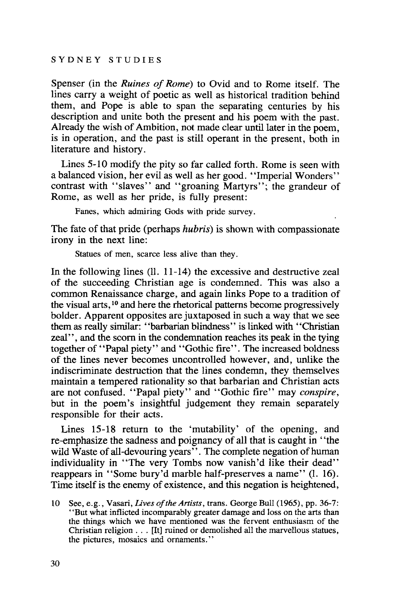Spenser (in the *Ruines of Rome)* to Ovid and to Rome itself. The lines carry a weight of poetic as well as historical tradition behind them, and Pope is able to span the separating centuries by his description and unite both the present and his poem with the past. Already the wish of Ambition, not made clear until later in the poem, is in operation, and the past is still operant in the present, both in literature and history.

Lines 5-10 modify the pity so far called forth. Rome is seen with a balanced vision, her evil as well as her good. "Imperial Wonders" contrast with "slaves" and "groaning Martyrs"; the grandeur of Rome, as well as her pride, is fully present:

Fanes, which admiring Gods with pride survey.

The fate of that pride (perhaps *hubris)* is shown with compassionate irony in the next line:

Statues of men, scarce less alive than they.

In the following lines (II. 11-14) the excessive and destructive zeal of the succeeding Christian age is condemned. This was also a common Renaissance charge, and again links Pope to a tradition of the visual arts, <sup>10</sup> and here the rhetorical patterns become progressively bolder. Apparent opposites are juxtaposed in such a way that we see them as really similar: "barbarian blindness" is linked with "Christian zeal'', and the scorn in the condemnation reaches its peak in the tying together of "Papal piety" and "Gothic fire". The increased boldness of the lines never becomes uncontrolled however, and, unlike the indiscriminate destruction that the lines condemn, they themselves maintain a tempered rationality so that barbarian and Christian acts are not confused. "Papal piety" and "Gothic fire" may *conspire,* but in the poem's insightful judgement they remain separately responsible for their acts.

Lines 15-18 return to the 'mutability' of the opening, and re-emphasize the sadness and poignancy of all that is caught in "the wild Waste of all-devouring years". The complete negation of human individuality in "The very Tombs now vanish'd like their dead" reappears in "Some bury'd marble half-preserves a name" (1. 16). Time itself is the enemy of existence, and this negation is heightened,

<sup>10</sup> See, e.g., Vasari, *lives ofthe Artists,* trans. George Bull (1965), pp. 36-7: "But what inflicted incomparably greater damage and loss on the arts than the things which we have mentioned was the fervent enthusiasm of the Christian religion ... [It] ruined or demolished all the marvellous statues, the pictures, mosaics and ornaments."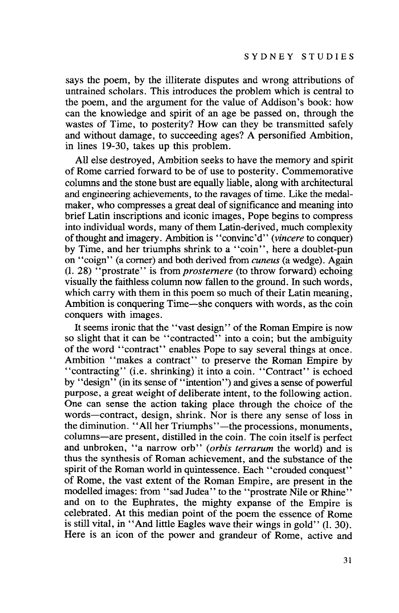says the poem, by the illiterate disputes and wrong attributions of untrained scholars. This introduces the problem which is central to the poem, and the argument for the value of Addison's book: how can the knowledge and spirit of an age be passed on, through the wastes of Time, to posterity? How can they be transmitted safely and without damage, to succeeding ages? A personified Ambition, in lines 19-30, takes up this problem.

All else destroyed, Ambition seeks to have the memory and spirit of Rome carried forward to be of use to posterity. Commemorative columns and the stone bust are equally liable, along with architectural and engineering achievements, to the ravages of time. Like the medalmaker, who compresses a great deal of significance and meaning into brief Latin inscriptions and iconic images, Pope begins to compress into individual words, many of them Latin-derived, much complexity of thought and imagery. Ambition is "convinc'd" *(vincere* to conquer) by Time, and her triumphs shrink to a "coin", here a doublet-pun on "coign" (a comer) and both derived from *cuneus* (a wedge). Again (1. 28) "prostrate" is from *prosternere* (to throw forward) echoing visually the faithless column now fallen to the ground. In such words, which carry with them in this poem so much of their Latin meaning, Ambition is conquering Time-she conquers with words, as the coin conquers with images.

It seems ironic that the "vast design" of the Roman Empire is now so slight that it can be "contracted" into a coin; but the ambiguity of the word "contract" enables Pope to say several things at once. Ambition "makes a contract" to preserve the Roman Empire by "contracting" (i.e. shrinking) it into a coin. "Contract" is echoed by "design" (in its sense of "intention") and gives a sense of powerful purpose, a great weight of deliberate intent, to the following action. One can sense the action taking place through the choice of the words-contract, design, shrink. Nor is there any sense of loss in the diminution. "All her Triumphs"—the processions, monuments, columns-are present, distilled in the coin. The coin itself is perfect and unbroken, "a narrow orb" *(orbis terrarum* the world) and is thus the synthesis of Roman achievement, and the substance of the spirit of the Roman world in quintessence. Each "crouded conquest" of Rome, the vast extent of the Roman Empire, are present in the modelled images: from "sad Judea" to the "prostrate Nile or Rhine" and on to the Euphrates, the mighty expanse of the Empire is celebrated. At this median point of the poem the essence of Rome is still vital, in "And little Eagles wave their wings in gold" (1. 30). Here is an icon of the power and grandeur of Rome, active and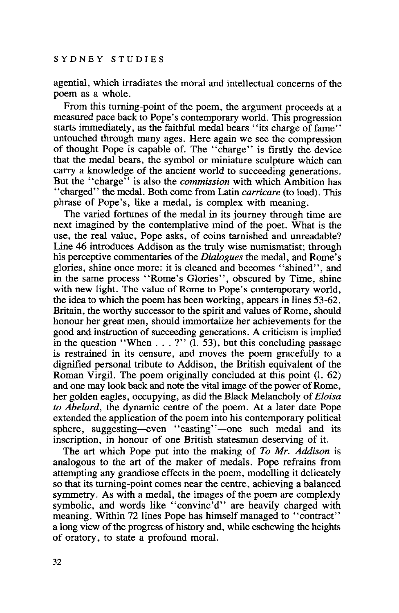agential, which irradiates the moral and intellectual concerns of the poem as a whole.

From this turning-point of the poem, the argument proceeds at a measured pace back to Pope's contemporary world. This progression starts immediately, as the faithful medal bears "its charge of fame" untouched through many ages. Here again we see the compression of thought Pope is capable of. The "charge" is firstly the device that the medal bears, the symbol or miniature sculpture which can carry a knowledge of the ancient world to succeeding generations. But the "charge" is also the *commission* with which Ambition has "charged" the medal. Both come from Latin *carricare* (to load). This phrase of Pope's, like a medal, is complex with meaning.

The varied fortunes of the medal in its journey through time are next imagined by the contemplative mind of the poet. What is the use, the real value, Pope asks, of coins tarnished and unreadable? Line 46 introduces Addison as the truly wise numismatist; through his perceptive commentaries of the *Dialogues* the medal, and Rome's glories, shine once more: it is cleaned and becomes "shined", and in the same process "Rome's Glories", obscured by Time, shine with new light. The value of Rome to Pope's contemporary world, the idea to which the poem has been working, appears in lines 53-62. Britain, the worthy successor to the spirit and values of Rome, should honour her great men, should immortalize her achievements for the good and instruction of succeeding generations. A criticism is implied in the question "When  $\dots$  ?" (1. 53), but this concluding passage is restrained in its censure, and moves the poem gracefully to a dignified personal tribute to Addison, the British equivalent of the Roman Virgil. The poem originally concluded at this point (1. 62) and one may look back and note the vital image of the power of Rome, her golden eagles, occupying, as did the Black Melancholy of*Eloisa to Abelard,* the dynamic centre of the poem. At a later date Pope extended the application of the poem into his contemporary political sphere, suggesting-even "casting"-one such medal and its inscription, in honour of one British statesman deserving of it.

The art which Pope put into the making of *To Mr. Addison* is analogous to the art of the maker of medals. Pope refrains from attempting any grandiose effects in the poem, modelling it delicately so that its turning-point comes near the centre, achieving a balanced symmetry. As with a medal, the images of the poem are complexly symbolic, and words like "convinc'd" are heavily charged with meaning. Within 72 lines Pope has himself managed to "contract" a long view of the progress of history and, while eschewing the heights of oratory, to state a profound moral.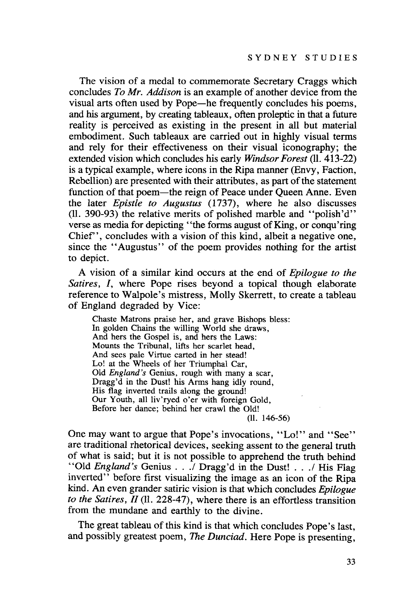The vision of a medal to commemorate Secretary Craggs which concludes *To Mr. Addison* is an example of another device from the visual arts often used by Pope-he frequently concludes his poems, and his argument, by creating tableaux, often proleptic in that a future reality is perceived as existing in the present in all but material embodiment. Such tableaux are carried out in highly visual terms and rely for their effectiveness on their visual iconography; the extended vision which concludes his early *Windsor Forest* (ll. 413-22) is a typical example, where icons in the Ripa manner (Envy, Faction, Rebellion) are presented with their attributes, as part of the statement function of that poem—the reign of Peace under Queen Anne. Even the later *Epistle to Augustus* (1737), where he also discusses (11. 390-93) the relative merits of polished marble and "polish'd" verse as media for depicting "the forms august of King, or conqu'ring Chief" , concludes with a vision of this kind, albeit a negative one, since the "Augustus" of the poem provides nothing for the artist to depict.

A vision of a similar kind occurs at the end of *Epilogue to the Satires, I,* where Pope rises beyond a topical though elaborate reference to Walpole's mistress, Molly Skerrett, to create a tableau of England degraded by Vice:

Chaste Matrons praise her, and grave Bishops bless: In golden Chains the willing World she draws, And hers the Gospel is, and hers the Laws: Mounts the Tribunal, lifts her scarlet head, And sees pale Virtue carted in her stead! Lo! at the Wheels of her Triumphal Car, Old *England's* Genius, rough with many a scar, Dragg'd in the Dust! his Arms hang idly round, His flag inverted trails along the ground! Our Youth, all liv'ryed o'er with foreign Gold, Before her dance; behind her crawl the Old!

(11. 146-56)

One may want to argue that Pope's invocations, "Lo!" and "See" are traditional rhetorical devices, seeking assent to the general truth of what is said; but it is not possible to apprehend the truth behind "Old *England's* Genius . . . / Dragg'd in the Dust! . . . / His Flag inverted" before first visualizing the image as an icon of the Ripa kind. An even grander satiric vision is that which concludes *Epilogue to the Satires, II* (11. 228-47), where there is an effortless transition from the mundane and earthly to the divine.

The great tableau of this kind is that which concludes Pope's last, and possibly greatest poem, *The Dunciad.* Here Pope is presenting,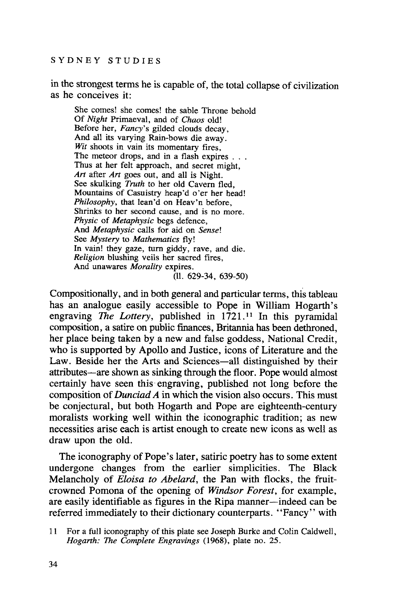in the strongest terms he is capable of, the total collapse of civilization as he conceives it:

She comes! she comes! the sable Throne behold Of *Night* Primaeval, and of *Chaos* old! Before her, *Fancy's* gilded clouds decay, And all its varying Rain-bows die away. *Wit* shoots in vain its momentary fires, The meteor drops, and in a flash expires . . . Thus at her felt approach, and secret might, *Art* after *Art* goes out, and all is Night. See skulking *Truth* to her old Cavern fled, Mountains of Casuistry heap'd o'er her head! *Philosophy,* that lean'd on Heav'n before, Shrinks to her second cause, and is no more. *Physic* of *Metaphysic* begs defence, And *Metaphysic* calls for aid on *Sense!* See *Mystery* to *Mathematics* fly! In vain! they gaze, tum giddy, rave, and die. *Religion* blushing veils her sacred fires, And unawares *Morality* expires. (11. 629-34, 639-50)

Compositionally, and in both general and particular terms, this tableau has an analogue easily accessible to Pope in William Hogarth's engraving *The Lottery,* published in 1721. <sup>11</sup> In this pyramidal composition, a satire on public finances, Britannia has been dethroned, her place being taken by a new and false goddess, National Credit, who is supported by Apollo and Justice, icons of Literature and the Law. Beside her the Arts and Sciences-all distinguished by their attributes-are shown as sinking through the floor. Pope would almost certainly have seen this· engraving, published not long before the composition of *Dunciad A* in which the vision also occurs. This must be conjectural, but both Hogarth and Pope are eighteenth-century moralists working well within the iconographic tradition; as new necessities arise each is artist enough to create new icons as well as draw upon the old.

The iconography of Pope's later, satiric poetry has to some extent undergone changes from the earlier simplicities. The Black Melancholy of *Eloisa to Abelard,* the Pan with flocks, the fruitcrowned Pomona of the opening of *Windsor Forest,* for example, are easily identifiable as figures in the Ripa manner-indeed can be referred immediately to their dictionary counterparts. "Fancy" with

<sup>11</sup> For a full iconography ofthis plate see Joseph Burke and Colin Caldwell, *Hogarth: The Complete Engravings* (1968), plate no. 25.